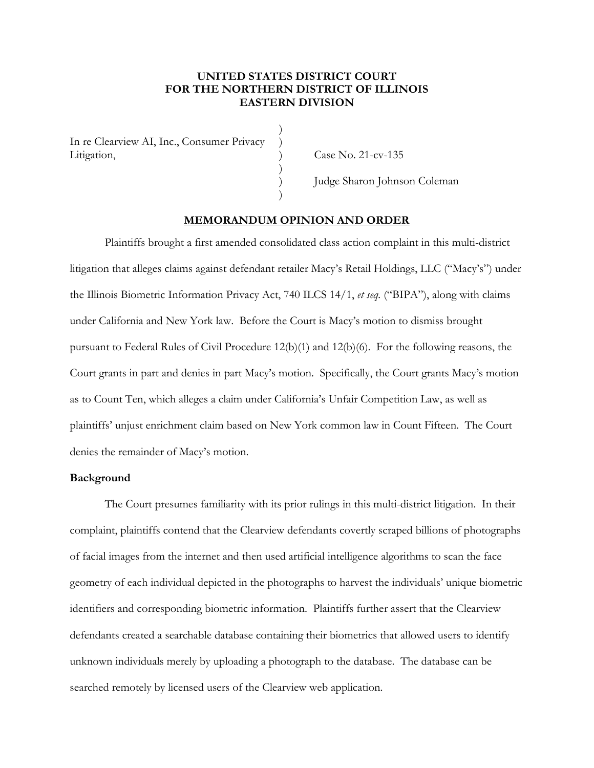# **UNITED STATES DISTRICT COURT FOR THE NORTHERN DISTRICT OF ILLINOIS EASTERN DIVISION**

)

)

)

In re Clearview AI, Inc., Consumer Privacy ) Litigation, Case No. 21-cv-135

) Judge Sharon Johnson Coleman

## **MEMORANDUM OPINION AND ORDER**

Plaintiffs brought a first amended consolidated class action complaint in this multi-district litigation that alleges claims against defendant retailer Macy's Retail Holdings, LLC ("Macy's") under the Illinois Biometric Information Privacy Act, 740 ILCS 14/1, *et seq.* ("BIPA"), along with claims under California and New York law. Before the Court is Macy's motion to dismiss brought pursuant to Federal Rules of Civil Procedure 12(b)(1) and 12(b)(6). For the following reasons, the Court grants in part and denies in part Macy's motion. Specifically, the Court grants Macy's motion as to Count Ten, which alleges a claim under California's Unfair Competition Law, as well as plaintiffs' unjust enrichment claim based on New York common law in Count Fifteen. The Court denies the remainder of Macy's motion.

# **Background**

The Court presumes familiarity with its prior rulings in this multi-district litigation. In their complaint, plaintiffs contend that the Clearview defendants covertly scraped billions of photographs of facial images from the internet and then used artificial intelligence algorithms to scan the face geometry of each individual depicted in the photographs to harvest the individuals' unique biometric identifiers and corresponding biometric information. Plaintiffs further assert that the Clearview defendants created a searchable database containing their biometrics that allowed users to identify unknown individuals merely by uploading a photograph to the database. The database can be searched remotely by licensed users of the Clearview web application.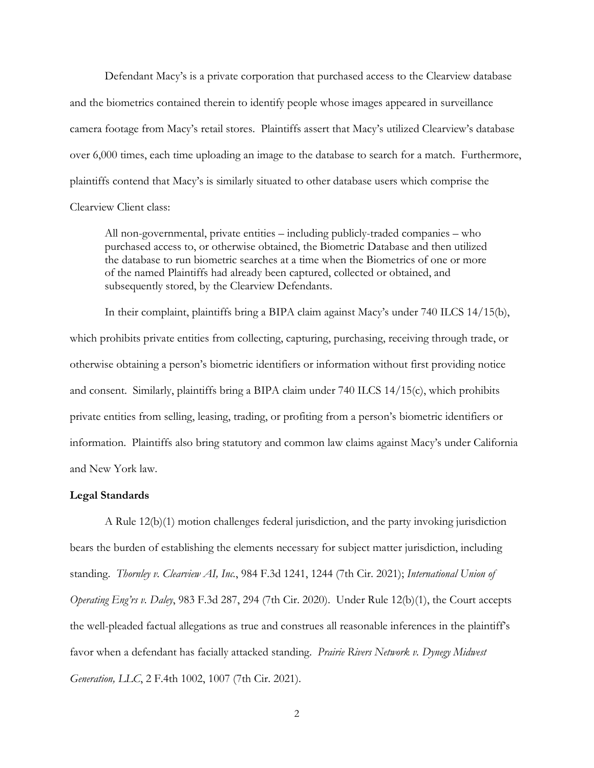Defendant Macy's is a private corporation that purchased access to the Clearview database and the biometrics contained therein to identify people whose images appeared in surveillance camera footage from Macy's retail stores. Plaintiffs assert that Macy's utilized Clearview's database over 6,000 times, each time uploading an image to the database to search for a match. Furthermore, plaintiffs contend that Macy's is similarly situated to other database users which comprise the Clearview Client class:

All non-governmental, private entities – including publicly-traded companies – who purchased access to, or otherwise obtained, the Biometric Database and then utilized the database to run biometric searches at a time when the Biometrics of one or more of the named Plaintiffs had already been captured, collected or obtained, and subsequently stored, by the Clearview Defendants.

In their complaint, plaintiffs bring a BIPA claim against Macy's under 740 ILCS 14/15(b), which prohibits private entities from collecting, capturing, purchasing, receiving through trade, or otherwise obtaining a person's biometric identifiers or information without first providing notice and consent. Similarly, plaintiffs bring a BIPA claim under 740 ILCS 14/15(c), which prohibits private entities from selling, leasing, trading, or profiting from a person's biometric identifiers or information. Plaintiffs also bring statutory and common law claims against Macy's under California and New York law.

# **Legal Standards**

A Rule 12(b)(1) motion challenges federal jurisdiction, and the party invoking jurisdiction bears the burden of establishing the elements necessary for subject matter jurisdiction, including standing. *Thornley v. Clearview AI, Inc.*, 984 F.3d 1241, 1244 (7th Cir. 2021); *International Union of Operating Eng'rs v. Daley*, 983 F.3d 287, 294 (7th Cir. 2020). Under Rule 12(b)(1), the Court accepts the well-pleaded factual allegations as true and construes all reasonable inferences in the plaintiff's favor when a defendant has facially attacked standing. *Prairie Rivers Network v. Dynegy Midwest Generation, LLC*, 2 F.4th 1002, 1007 (7th Cir. 2021).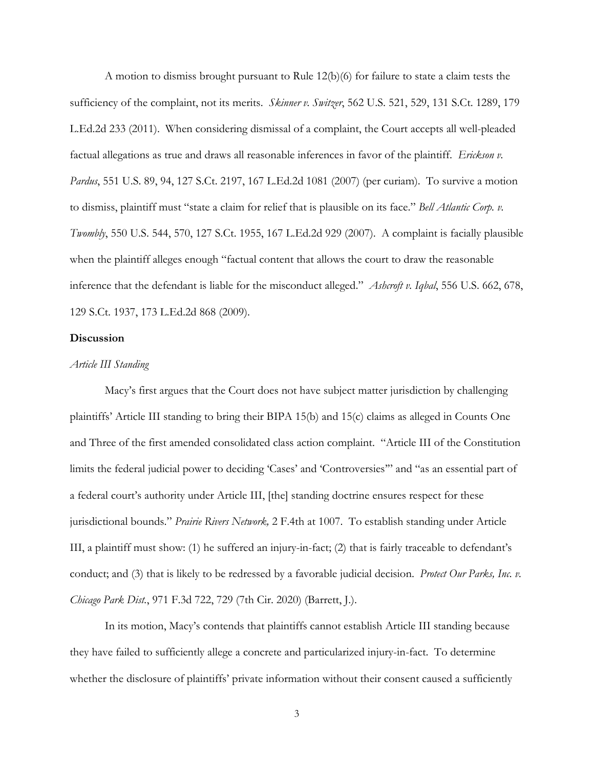A motion to dismiss brought pursuant to Rule 12(b)(6) for failure to state a claim tests the sufficiency of the complaint, not its merits. *Skinner v. Switzer*, 562 U.S. 521, 529, 131 S.Ct. 1289, 179 L.Ed.2d 233 (2011). When considering dismissal of a complaint, the Court accepts all well-pleaded factual allegations as true and draws all reasonable inferences in favor of the plaintiff. *Erickson v. Pardus*, 551 U.S. 89, 94, 127 S.Ct. 2197, 167 L.Ed.2d 1081 (2007) (per curiam). To survive a motion to dismiss, plaintiff must "state a claim for relief that is plausible on its face." *Bell Atlantic Corp. v. Twombly*, 550 U.S. 544, 570, 127 S.Ct. 1955, 167 L.Ed.2d 929 (2007). A complaint is facially plausible when the plaintiff alleges enough "factual content that allows the court to draw the reasonable inference that the defendant is liable for the misconduct alleged." *Ashcroft v. Iqbal*, 556 U.S. 662, 678, 129 S.Ct. 1937, 173 L.Ed.2d 868 (2009).

### **Discussion**

#### *Article III Standing*

Macy's first argues that the Court does not have subject matter jurisdiction by challenging plaintiffs' Article III standing to bring their BIPA 15(b) and 15(c) claims as alleged in Counts One and Three of the first amended consolidated class action complaint. "Article III of the Constitution limits the federal judicial power to deciding 'Cases' and 'Controversies'" and "as an essential part of a federal court's authority under Article III, [the] standing doctrine ensures respect for these jurisdictional bounds." *Prairie Rivers Network,* 2 F.4th at 1007. To establish standing under Article III, a plaintiff must show: (1) he suffered an injury-in-fact; (2) that is fairly traceable to defendant's conduct; and (3) that is likely to be redressed by a favorable judicial decision. *Protect Our Parks, Inc. v. Chicago Park Dist.*, 971 F.3d 722, 729 (7th Cir. 2020) (Barrett, J.).

In its motion, Macy's contends that plaintiffs cannot establish Article III standing because they have failed to sufficiently allege a concrete and particularized injury-in-fact. To determine whether the disclosure of plaintiffs' private information without their consent caused a sufficiently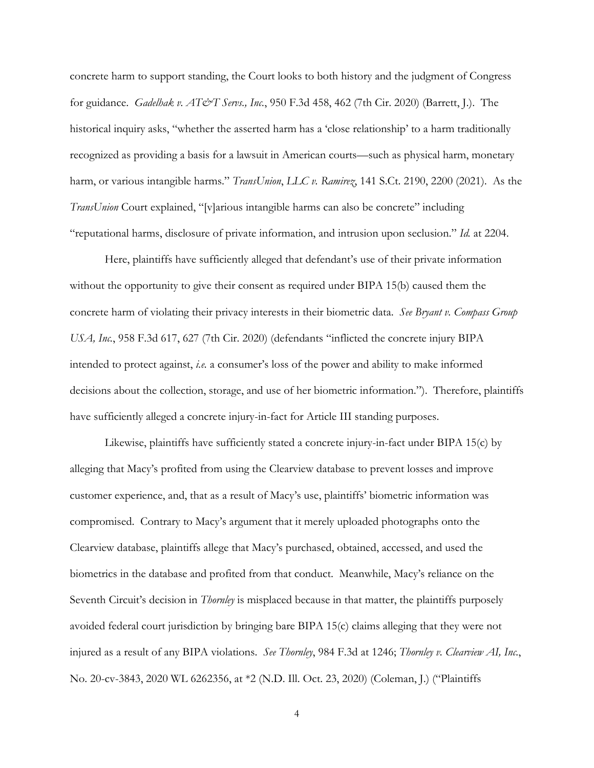concrete harm to support standing, the Court looks to both history and the judgment of Congress for guidance. *Gadelhak v. AT&T Servs., Inc.*, 950 F.3d 458, 462 (7th Cir. 2020) (Barrett, J.). The historical inquiry asks, "whether the asserted harm has a 'close relationship' to a harm traditionally recognized as providing a basis for a lawsuit in American courts—such as physical harm, monetary harm, or various intangible harms." *TransUnion*, *LLC v. Ramirez*, 141 S.Ct. 2190, 2200 (2021). As the *TransUnion* Court explained, "[v]arious intangible harms can also be concrete" including "reputational harms, disclosure of private information, and intrusion upon seclusion." *Id.* at 2204.

Here, plaintiffs have sufficiently alleged that defendant's use of their private information without the opportunity to give their consent as required under BIPA 15(b) caused them the concrete harm of violating their privacy interests in their biometric data. *See Bryant v. Compass Group USA, Inc.*, 958 F.3d 617, 627 (7th Cir. 2020) (defendants "inflicted the concrete injury BIPA intended to protect against, *i.e.* a consumer's loss of the power and ability to make informed decisions about the collection, storage, and use of her biometric information."). Therefore, plaintiffs have sufficiently alleged a concrete injury-in-fact for Article III standing purposes.

Likewise, plaintiffs have sufficiently stated a concrete injury-in-fact under BIPA 15(c) by alleging that Macy's profited from using the Clearview database to prevent losses and improve customer experience, and, that as a result of Macy's use, plaintiffs' biometric information was compromised. Contrary to Macy's argument that it merely uploaded photographs onto the Clearview database, plaintiffs allege that Macy's purchased, obtained, accessed, and used the biometrics in the database and profited from that conduct. Meanwhile, Macy's reliance on the Seventh Circuit's decision in *Thornley* is misplaced because in that matter, the plaintiffs purposely avoided federal court jurisdiction by bringing bare BIPA 15(c) claims alleging that they were not injured as a result of any BIPA violations. *See Thornley*, 984 F.3d at 1246; *Thornley v. Clearview AI, Inc.*, No. 20-cv-3843, 2020 WL 6262356, at \*2 (N.D. Ill. Oct. 23, 2020) (Coleman, J.) ("Plaintiffs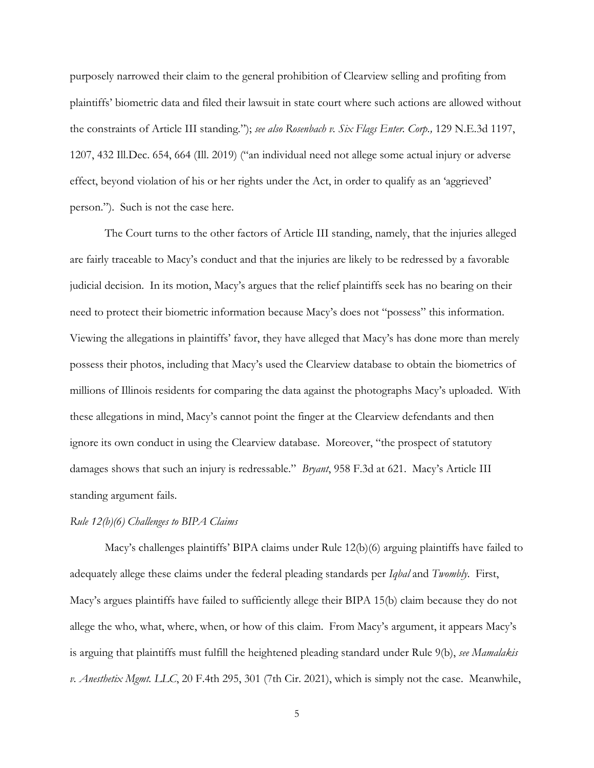purposely narrowed their claim to the general prohibition of Clearview selling and profiting from plaintiffs' biometric data and filed their lawsuit in state court where such actions are allowed without the constraints of Article III standing*.*"); *see also Rosenbach v. Six Flags Enter. Corp.,* 129 N.E.3d 1197, 1207, 432 Ill.Dec. 654, 664 (Ill. 2019) ("an individual need not allege some actual injury or adverse effect, beyond violation of his or her rights under the Act, in order to qualify as an 'aggrieved' person."). Such is not the case here.

The Court turns to the other factors of Article III standing, namely, that the injuries alleged are fairly traceable to Macy's conduct and that the injuries are likely to be redressed by a favorable judicial decision. In its motion, Macy's argues that the relief plaintiffs seek has no bearing on their need to protect their biometric information because Macy's does not "possess" this information. Viewing the allegations in plaintiffs' favor, they have alleged that Macy's has done more than merely possess their photos, including that Macy's used the Clearview database to obtain the biometrics of millions of Illinois residents for comparing the data against the photographs Macy's uploaded. With these allegations in mind, Macy's cannot point the finger at the Clearview defendants and then ignore its own conduct in using the Clearview database. Moreover, "the prospect of statutory damages shows that such an injury is redressable." *Bryant*, 958 F.3d at 621. Macy's Article III standing argument fails.

## *Rule 12(b)(6) Challenges to BIPA Claims*

Macy's challenges plaintiffs' BIPA claims under Rule 12(b)(6) arguing plaintiffs have failed to adequately allege these claims under the federal pleading standards per *Iqbal* and *Twombly*. First, Macy's argues plaintiffs have failed to sufficiently allege their BIPA 15(b) claim because they do not allege the who, what, where, when, or how of this claim. From Macy's argument, it appears Macy's is arguing that plaintiffs must fulfill the heightened pleading standard under Rule 9(b), *see Mamalakis v. Anesthetix Mgmt. LLC*, 20 F.4th 295, 301 (7th Cir. 2021), which is simply not the case. Meanwhile,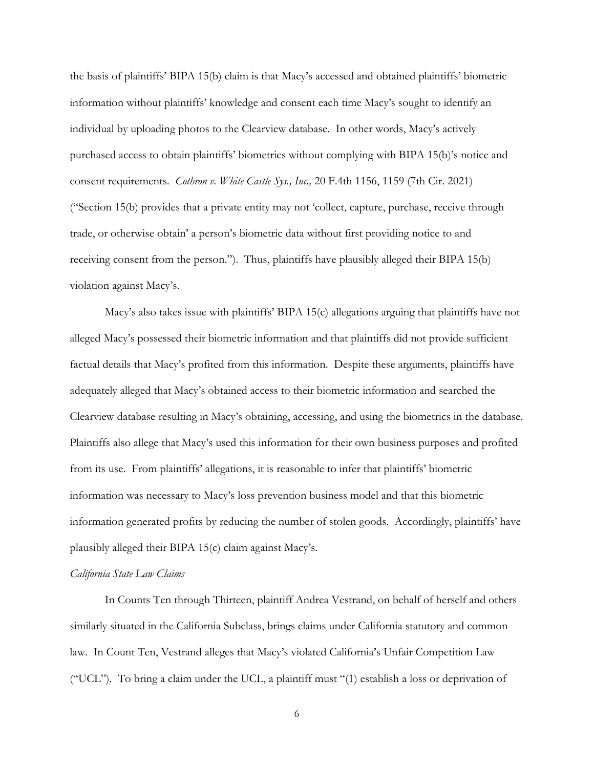the basis of plaintiffs' BIPA 15(b) claim is that Macy's accessed and obtained plaintiffs' biometric information without plaintiffs' knowledge and consent each time Macy's sought to identify an individual by uploading photos to the Clearview database. In other words, Macy's actively purchased access to obtain plaintiffs' biometrics without complying with BIPA 15(b)'s notice and consent requirements. *Cothron v. White Castle Sys., Inc.,* 20 F.4th 1156, 1159 (7th Cir. 2021) ("Section 15(b) provides that a private entity may not 'collect, capture, purchase, receive through trade, or otherwise obtain' a person's biometric data without first providing notice to and receiving consent from the person."). Thus, plaintiffs have plausibly alleged their BIPA 15(b) violation against Macy's.

Macy's also takes issue with plaintiffs' BIPA 15(c) allegations arguing that plaintiffs have not alleged Macy's possessed their biometric information and that plaintiffs did not provide sufficient factual details that Macy's profited from this information. Despite these arguments, plaintiffs have adequately alleged that Macy's obtained access to their biometric information and searched the Clearview database resulting in Macy's obtaining, accessing, and using the biometrics in the database. Plaintiffs also allege that Macy's used this information for their own business purposes and profited from its use. From plaintiffs' allegations, it is reasonable to infer that plaintiffs' biometric information was necessary to Macy's loss prevention business model and that this biometric information generated profits by reducing the number of stolen goods. Accordingly, plaintiffs' have plausibly alleged their BIPA 15(c) claim against Macy's.

### *California State Law Claims*

In Counts Ten through Thirteen, plaintiff Andrea Vestrand, on behalf of herself and others similarly situated in the California Subclass, brings claims under California statutory and common law. In Count Ten, Vestrand alleges that Macy's violated California's Unfair Competition Law ("UCL"). To bring a claim under the UCL, a plaintiff must "(1) establish a loss or deprivation of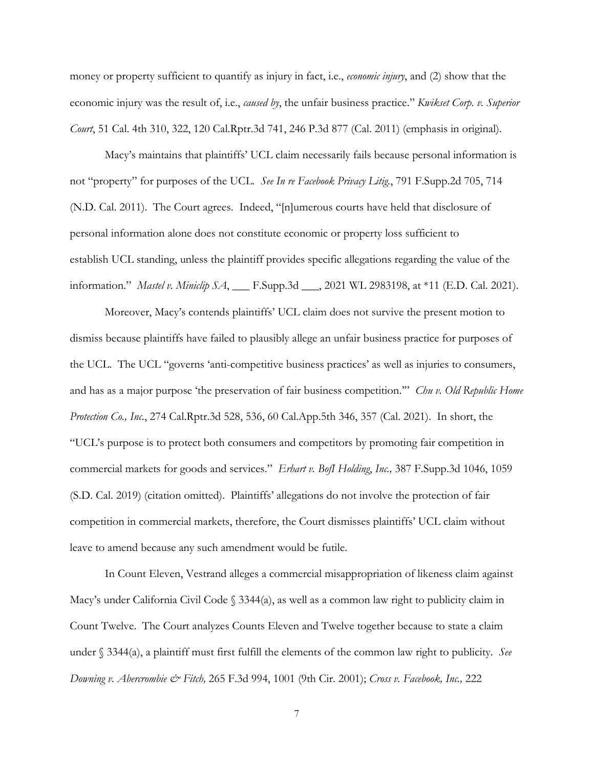money or property sufficient to quantify as injury in fact, i.e., *economic injury*, and (2) show that the economic injury was the result of, i.e., *caused by*, the unfair business practice." *Kwikset Corp. v. Superior Court*, 51 Cal. 4th 310, 322, 120 Cal.Rptr.3d 741, 246 P.3d 877 (Cal. 2011) (emphasis in original).

Macy's maintains that plaintiffs' UCL claim necessarily fails because personal information is not "property" for purposes of the UCL. *See In re Facebook Privacy Litig.*, 791 F.Supp.2d 705, 714 (N.D. Cal. 2011). The Court agrees. Indeed, "[n]umerous courts have held that disclosure of personal information alone does not constitute economic or property loss sufficient to establish UCL standing, unless the plaintiff provides specific allegations regarding the value of the information." *Mastel v. Miniclip SA*, **\_\_\_** F.Supp.3d **\_\_\_**, 2021 WL 2983198, at \*11 (E.D. Cal. 2021).

Moreover, Macy's contends plaintiffs' UCL claim does not survive the present motion to dismiss because plaintiffs have failed to plausibly allege an unfair business practice for purposes of the UCL. The UCL "governs 'anti-competitive business practices' as well as injuries to consumers, and has as a major purpose 'the preservation of fair business competition.'" *Chu v. Old Republic Home Protection Co., Inc.*, 274 Cal.Rptr.3d 528, 536, 60 Cal.App.5th 346, 357 (Cal. 2021). In short, the "UCL's purpose is to protect both consumers and competitors by promoting fair competition in commercial markets for goods and services." *Erhart v. BofI Holding*, *Inc.,* 387 F.Supp.3d 1046, 1059 (S.D. Cal. 2019) (citation omitted). Plaintiffs' allegations do not involve the protection of fair competition in commercial markets, therefore, the Court dismisses plaintiffs' UCL claim without leave to amend because any such amendment would be futile.

In Count Eleven, Vestrand alleges a commercial misappropriation of likeness claim against Macy's under California Civil Code § 3344(a), as well as a common law right to publicity claim in Count Twelve. The Court analyzes Counts Eleven and Twelve together because to state a claim under § 3344(a), a plaintiff must first fulfill the elements of the common law right to publicity. *See Downing v. Abercrombie & Fitch,* 265 F.3d 994, 1001 (9th Cir. 2001); *Cross v. Facebook, Inc.,* 222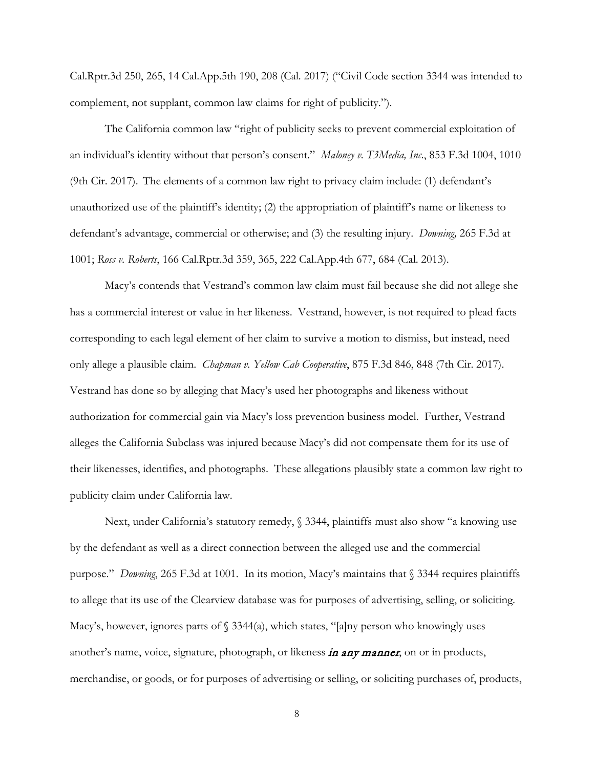Cal.Rptr.3d 250, 265, 14 Cal.App.5th 190, 208 (Cal. 2017) ("Civil Code section 3344 was intended to complement, not supplant, common law claims for right of publicity.").

The California common law "right of publicity seeks to prevent commercial exploitation of an individual's identity without that person's consent." *Maloney v. T3Media, Inc*., 853 F.3d 1004, 1010 (9th Cir. 2017). The elements of a common law right to privacy claim include: (1) defendant's unauthorized use of the plaintiff's identity; (2) the appropriation of plaintiff's name or likeness to defendant's advantage, commercial or otherwise; and (3) the resulting injury. *Downing,* 265 F.3d at 1001; *Ross v. Roberts*, 166 Cal.Rptr.3d 359, 365, 222 Cal.App.4th 677, 684 (Cal. 2013).

Macy's contends that Vestrand's common law claim must fail because she did not allege she has a commercial interest or value in her likeness. Vestrand, however, is not required to plead facts corresponding to each legal element of her claim to survive a motion to dismiss, but instead, need only allege a plausible claim. *Chapman v. Yellow Cab Cooperative*, 875 F.3d 846, 848 (7th Cir. 2017). Vestrand has done so by alleging that Macy's used her photographs and likeness without authorization for commercial gain via Macy's loss prevention business model. Further, Vestrand alleges the California Subclass was injured because Macy's did not compensate them for its use of their likenesses, identifies, and photographs. These allegations plausibly state a common law right to publicity claim under California law.

Next, under California's statutory remedy, § 3344, plaintiffs must also show "a knowing use by the defendant as well as a direct connection between the alleged use and the commercial purpose." *Downing*, 265 F.3d at 1001. In its motion, Macy's maintains that § 3344 requires plaintiffs to allege that its use of the Clearview database was for purposes of advertising, selling, or soliciting. Macy's, however, ignores parts of  $\S$  3344(a), which states, "[a]ny person who knowingly uses another's name, voice, signature, photograph, or likeness *in any manner*, on or in products, merchandise, or goods, or for purposes of advertising or selling, or soliciting purchases of, products,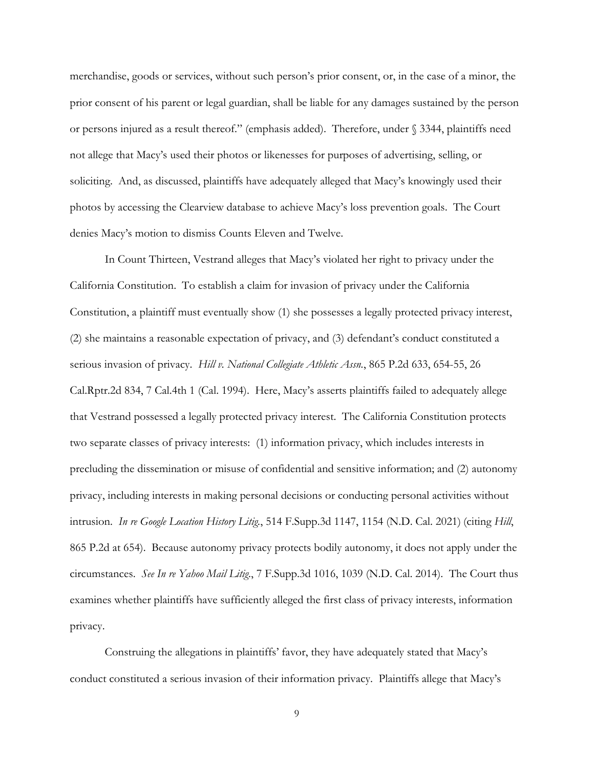merchandise, goods or services, without such person's prior consent, or, in the case of a minor, the prior consent of his parent or legal guardian, shall be liable for any damages sustained by the person or persons injured as a result thereof." (emphasis added). Therefore, under § 3344, plaintiffs need not allege that Macy's used their photos or likenesses for purposes of advertising, selling, or soliciting. And, as discussed, plaintiffs have adequately alleged that Macy's knowingly used their photos by accessing the Clearview database to achieve Macy's loss prevention goals. The Court denies Macy's motion to dismiss Counts Eleven and Twelve.

In Count Thirteen, Vestrand alleges that Macy's violated her right to privacy under the California Constitution. To establish a claim for invasion of privacy under the California Constitution, a plaintiff must eventually show (1) she possesses a legally protected privacy interest, (2) she maintains a reasonable expectation of privacy, and (3) defendant's conduct constituted a serious invasion of privacy. *Hill v. National Collegiate Athletic Assn.*, 865 P.2d 633, 654-55, 26 Cal.Rptr.2d 834, 7 Cal.4th 1 (Cal. 1994). Here, Macy's asserts plaintiffs failed to adequately allege that Vestrand possessed a legally protected privacy interest. The California Constitution protects two separate classes of privacy interests: (1) information privacy, which includes interests in precluding the dissemination or misuse of confidential and sensitive information; and (2) autonomy privacy, including interests in making personal decisions or conducting personal activities without intrusion. *In re Google Location History Litig.*, 514 F.Supp.3d 1147, 1154 (N.D. Cal. 2021) (citing *Hill*, 865 P.2d at 654). Because autonomy privacy protects bodily autonomy, it does not apply under the circumstances. *See In re Yahoo Mail Litig*., 7 F.Supp.3d 1016, 1039 (N.D. Cal. 2014). The Court thus examines whether plaintiffs have sufficiently alleged the first class of privacy interests, information privacy.

Construing the allegations in plaintiffs' favor, they have adequately stated that Macy's conduct constituted a serious invasion of their information privacy. Plaintiffs allege that Macy's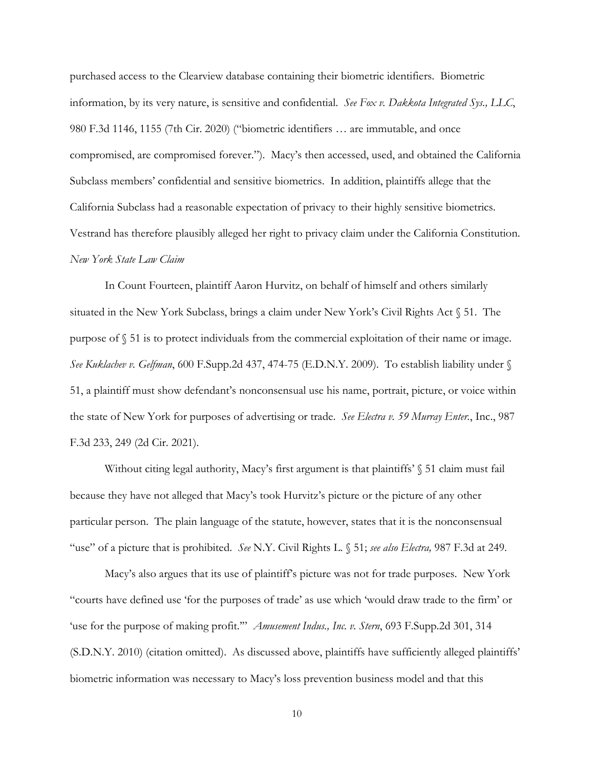purchased access to the Clearview database containing their biometric identifiers. Biometric information, by its very nature, is sensitive and confidential. *See Fox v. Dakkota Integrated Sys., LLC*, 980 F.3d 1146, 1155 (7th Cir. 2020) ("biometric identifiers … are immutable, and once compromised, are compromised forever."). Macy's then accessed, used, and obtained the California Subclass members' confidential and sensitive biometrics. In addition, plaintiffs allege that the California Subclass had a reasonable expectation of privacy to their highly sensitive biometrics. Vestrand has therefore plausibly alleged her right to privacy claim under the California Constitution. *New York State Law Claim*

In Count Fourteen, plaintiff Aaron Hurvitz, on behalf of himself and others similarly situated in the New York Subclass, brings a claim under New York's Civil Rights Act § 51. The purpose of § 51 is to protect individuals from the commercial exploitation of their name or image. *See Kuklachev v. Gelfman*, 600 F.Supp.2d 437, 474-75 (E.D.N.Y. 2009).To establish liability under § 51, a plaintiff must show defendant's nonconsensual use his name, portrait, picture, or voice within the state of New York for purposes of advertising or trade. *See Electra v. 59 Murray Enter.*, Inc., 987 F.3d 233, 249 (2d Cir. 2021).

Without citing legal authority, Macy's first argument is that plaintiffs' § 51 claim must fail because they have not alleged that Macy's took Hurvitz's picture or the picture of any other particular person. The plain language of the statute, however, states that it is the nonconsensual "use" of a picture that is prohibited. *See* N.Y. Civil Rights L. § 51; *see also Electra,* 987 F.3d at 249.

Macy's also argues that its use of plaintiff's picture was not for trade purposes. New York "courts have defined use 'for the purposes of trade' as use which 'would draw trade to the firm' or 'use for the purpose of making profit.'" *Amusement Indus., Inc. v. Stern*, 693 F.Supp.2d 301, 314 (S.D.N.Y. 2010) (citation omitted). As discussed above, plaintiffs have sufficiently alleged plaintiffs' biometric information was necessary to Macy's loss prevention business model and that this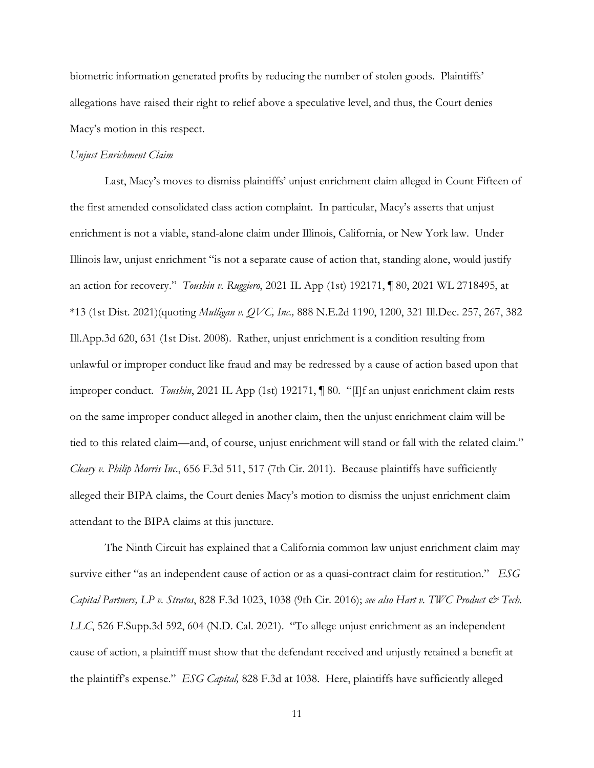biometric information generated profits by reducing the number of stolen goods. Plaintiffs' allegations have raised their right to relief above a speculative level, and thus, the Court denies Macy's motion in this respect.

#### *Unjust Enrichment Claim*

Last, Macy's moves to dismiss plaintiffs' unjust enrichment claim alleged in Count Fifteen of the first amended consolidated class action complaint. In particular, Macy's asserts that unjust enrichment is not a viable, stand-alone claim under Illinois, California, or New York law. Under Illinois law, unjust enrichment "is not a separate cause of action that, standing alone, would justify an action for recovery." *Toushin v. Ruggiero*, 2021 IL App (1st) 192171, ¶ 80, 2021 WL 2718495, at \*13 (1st Dist. 2021)(quoting *Mulligan v. QVC, Inc.,* 888 N.E.2d 1190, 1200, 321 Ill.Dec. 257, 267, 382 Ill.App.3d 620, 631 (1st Dist. 2008). Rather, unjust enrichment is a condition resulting from unlawful or improper conduct like fraud and may be redressed by a cause of action based upon that improper conduct. *Toushin*, 2021 IL App (1st) 192171, ¶ 80. "[I]f an unjust enrichment claim rests on the same improper conduct alleged in another claim, then the unjust enrichment claim will be tied to this related claim—and, of course, unjust enrichment will stand or fall with the related claim." *Cleary v. Philip Morris Inc*., 656 F.3d 511, 517 (7th Cir. 2011). Because plaintiffs have sufficiently alleged their BIPA claims, the Court denies Macy's motion to dismiss the unjust enrichment claim attendant to the BIPA claims at this juncture.

The Ninth Circuit has explained that a California common law unjust enrichment claim may survive either "as an independent cause of action or as a quasi-contract claim for restitution." *ESG Capital Partners, LP v. Stratos*, 828 F.3d 1023, 1038 (9th Cir. 2016); *see also Hart v. TWC Product & Tech. LLC*, 526 F.Supp.3d 592, 604 (N.D. Cal. 2021). "To allege unjust enrichment as an independent cause of action, a plaintiff must show that the defendant received and unjustly retained a benefit at the plaintiff's expense." *ESG Capital,* 828 F.3d at 1038. Here, plaintiffs have sufficiently alleged